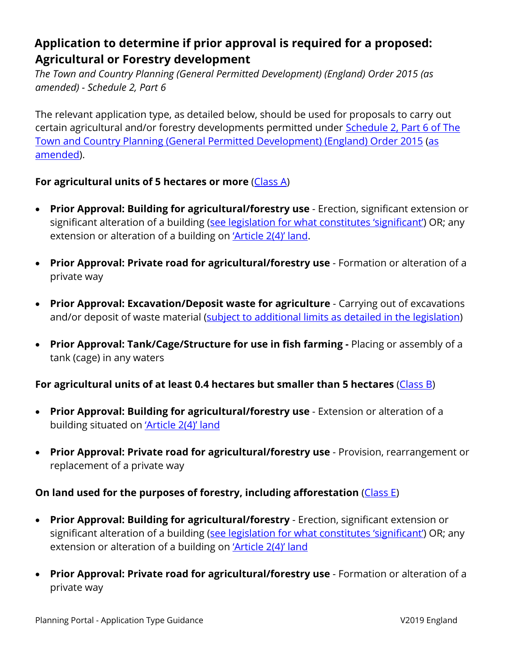## **Application to determine if prior approval is required for a proposed: Agricultural or Forestry development**

*The Town and Country Planning (General Permitted Development) (England) Order 2015 (as amended) - Schedule 2, Part 6*

The relevant application type, as detailed below, should be used for proposals to carry out certain agricultural and/or forestry developments permitted under [Schedule 2, Part 6 of](http://www.legislation.gov.uk/uksi/2015/596/schedule/2/part/6/made) The [Town and Country Planning \(General Permitted Development\) \(England\) Order 2015](http://www.legislation.gov.uk/uksi/2015/596/schedule/2/part/6/made) [\(as](http://www.legislation.gov.uk/changes/affected/uksi/2015/596)  [amended\)](http://www.legislation.gov.uk/changes/affected/uksi/2015/596).

## For agricultural units of 5 hectares or more [\(Class A\)](http://www.legislation.gov.uk/uksi/2015/596/schedule/2/part/6/crossheading/class-a-agricultural-development-on-units-of-5-hectares-or-more/made)

- **Prior Approval: Building for agricultural/forestry use**  Erection, significant extension or significant alteration of a building [\(see legislation for what constitutes 'significant'\)](http://www.legislation.gov.uk/uksi/2015/596/schedule/2/part/6/crossheading/class-c-mineral-working-for-agricultural-purposes/paragraph/D.1/made) OR; any extension or alteration of a building on ['Article 2\(4\)' land.](http://www.legislation.gov.uk/uksi/2015/596/schedule/1/part/2/made)
- **Prior Approval: Private road for agricultural/forestry use**  Formation or alteration of a private way
- **Prior Approval: Excavation/Deposit waste for agriculture**  Carrying out of excavations and/or deposit of waste material [\(subject to additional limits as detailed in the legislation\)](http://www.legislation.gov.uk/uksi/2015/596/schedule/2/part/6/crossheading/class-a-agricultural-development-on-units-of-5-hectares-or-more/paragraph/A.2/made)
- **Prior Approval: Tank/Cage/Structure for use in fish farming -** Placing or assembly of a tank (cage) in any waters

## For agricultural units of at least 0.4 hectares but smaller than 5 hectares [\(Class B\)](http://www.legislation.gov.uk/uksi/2015/596/schedule/2/part/6/crossheading/class-b-agricultural-development-on-units-of-less-than-5-hectares/made)

- **Prior Approval: Building for agricultural/forestry use** Extension or alteration of a building situated on ['Article 2\(4\)' land](http://www.legislation.gov.uk/uksi/2015/596/schedule/1/part/2/made)
- **Prior Approval: Private road for agricultural/forestry use** Provision, rearrangement or replacement of a private way

## **On land used for the purposes of forestry, including afforestation** [\(Class E\)](http://www.legislation.gov.uk/uksi/2015/596/schedule/2/part/6/crossheading/class-e-forestry-developments/made)

- **Prior Approval: Building for agricultural/forestry**  Erection, significant extension or significant alteration of a building [\(see legislation for what constitutes 'significant'\)](http://www.legislation.gov.uk/uksi/2015/596/schedule/2/part/6/crossheading/class-e-forestry-developments/paragraph/E.3/made) OR; any extension or alteration of a building on ['Article 2\(4\)' land](http://www.legislation.gov.uk/uksi/2015/596/schedule/1/part/2/made)
- **Prior Approval: Private road for agricultural/forestry use** Formation or alteration of a private way